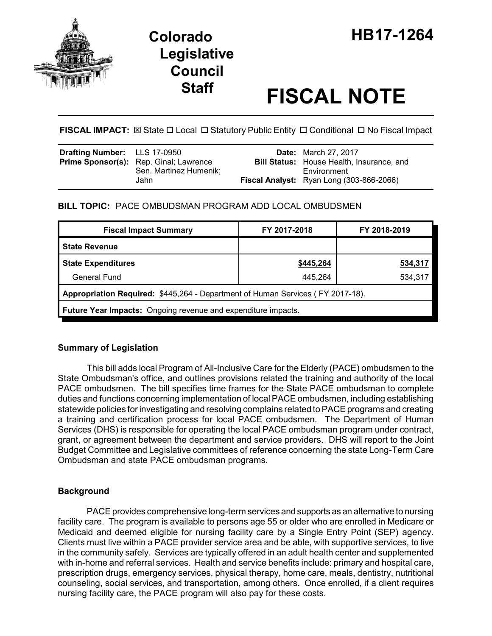

# **Legislative Council**

# **Staff FISCAL NOTE**

FISCAL IMPACT:  $\boxtimes$  State  $\Box$  Local  $\Box$  Statutory Public Entity  $\Box$  Conditional  $\Box$  No Fiscal Impact

| <b>Drafting Number:</b> LLS 17-0950 |                                                                         | <b>Date:</b> March 27, 2017                                     |
|-------------------------------------|-------------------------------------------------------------------------|-----------------------------------------------------------------|
|                                     | <b>Prime Sponsor(s):</b> Rep. Ginal; Lawrence<br>Sen. Martinez Humenik: | <b>Bill Status:</b> House Health, Insurance, and<br>Environment |
|                                     | Jahn                                                                    | Fiscal Analyst: Ryan Long (303-866-2066)                        |

# **BILL TOPIC:** PACE OMBUDSMAN PROGRAM ADD LOCAL OMBUDSMEN

| <b>Fiscal Impact Summary</b>                                                   | FY 2017-2018 | FY 2018-2019 |  |  |  |
|--------------------------------------------------------------------------------|--------------|--------------|--|--|--|
| <b>State Revenue</b>                                                           |              |              |  |  |  |
| <b>State Expenditures</b>                                                      | \$445,264    | 534,317      |  |  |  |
| General Fund                                                                   | 445.264      | 534,317      |  |  |  |
| Appropriation Required: \$445,264 - Department of Human Services (FY 2017-18). |              |              |  |  |  |
| <b>Future Year Impacts:</b> Ongoing revenue and expenditure impacts.           |              |              |  |  |  |

# **Summary of Legislation**

This bill adds local Program of All-Inclusive Care for the Elderly (PACE) ombudsmen to the State Ombudsman's office, and outlines provisions related the training and authority of the local PACE ombudsmen. The bill specifies time frames for the State PACE ombudsman to complete duties and functions concerning implementation of local PACE ombudsmen, including establishing statewide policies for investigating and resolving complains related to PACE programs and creating a training and certification process for local PACE ombudsmen. The Department of Human Services (DHS) is responsible for operating the local PACE ombudsman program under contract, grant, or agreement between the department and service providers. DHS will report to the Joint Budget Committee and Legislative committees of reference concerning the state Long-Term Care Ombudsman and state PACE ombudsman programs.

# **Background**

PACE provides comprehensive long-term services and supports as an alternative to nursing facility care. The program is available to persons age 55 or older who are enrolled in Medicare or Medicaid and deemed eligible for nursing facility care by a Single Entry Point (SEP) agency. Clients must live within a PACE provider service area and be able, with supportive services, to live in the community safely. Services are typically offered in an adult health center and supplemented with in-home and referral services. Health and service benefits include: primary and hospital care, prescription drugs, emergency services, physical therapy, home care, meals, dentistry, nutritional counseling, social services, and transportation, among others. Once enrolled, if a client requires nursing facility care, the PACE program will also pay for these costs.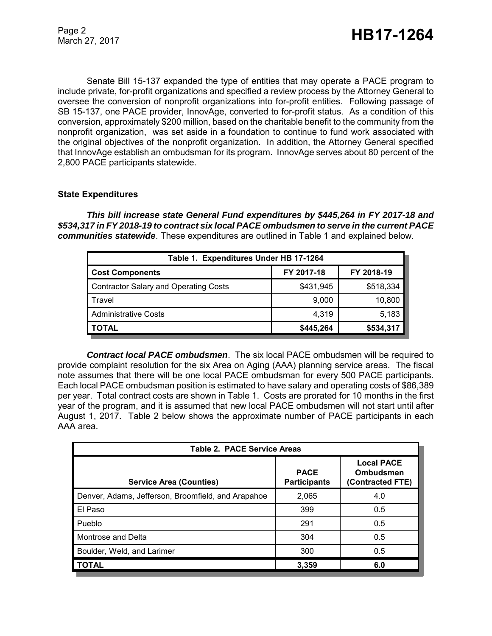Senate Bill 15-137 expanded the type of entities that may operate a PACE program to include private, for-profit organizations and specified a review process by the Attorney General to oversee the conversion of nonprofit organizations into for-profit entities. Following passage of SB 15-137, one PACE provider, InnovAge, converted to for-profit status. As a condition of this conversion, approximately \$200 million, based on the charitable benefit to the community from the nonprofit organization, was set aside in a foundation to continue to fund work associated with the original objectives of the nonprofit organization. In addition, the Attorney General specified that InnovAge establish an ombudsman for its program. InnovAge serves about 80 percent of the 2,800 PACE participants statewide.

### **State Expenditures**

*This bill increase state General Fund expenditures by \$445,264 in FY 2017-18 and \$534,317 in FY 2018-19 to contract six local PACE ombudsmen to serve in the current PACE communities statewide*. These expenditures are outlined in Table 1 and explained below.

| Table 1. Expenditures Under HB 17-1264       |            |            |  |  |  |
|----------------------------------------------|------------|------------|--|--|--|
| <b>Cost Components</b>                       | FY 2017-18 | FY 2018-19 |  |  |  |
| <b>Contractor Salary and Operating Costs</b> | \$431,945  | \$518,334  |  |  |  |
| Travel                                       | 9,000      | 10,800     |  |  |  |
| <b>Administrative Costs</b>                  | 4.319      | 5,183      |  |  |  |
| TOTAL                                        | \$445,264  | \$534,317  |  |  |  |

*Contract local PACE ombudsmen*. The six local PACE ombudsmen will be required to provide complaint resolution for the six Area on Aging (AAA) planning service areas. The fiscal note assumes that there will be one local PACE ombudsman for every 500 PACE participants. Each local PACE ombudsman position is estimated to have salary and operating costs of \$86,389 per year. Total contract costs are shown in Table 1. Costs are prorated for 10 months in the first year of the program, and it is assumed that new local PACE ombudsmen will not start until after August 1, 2017. Table 2 below shows the approximate number of PACE participants in each AAA area.

| <b>Table 2. PACE Service Areas</b>                 |                                    |                                                           |  |  |  |
|----------------------------------------------------|------------------------------------|-----------------------------------------------------------|--|--|--|
| <b>Service Area (Counties)</b>                     | <b>PACE</b><br><b>Participants</b> | <b>Local PACE</b><br><b>Ombudsmen</b><br>(Contracted FTE) |  |  |  |
| Denver, Adams, Jefferson, Broomfield, and Arapahoe | 2,065                              | 4.0                                                       |  |  |  |
| El Paso                                            | 399                                | 0.5                                                       |  |  |  |
| Pueblo                                             | 291                                | 0.5                                                       |  |  |  |
| Montrose and Delta                                 | 304                                | 0.5                                                       |  |  |  |
| Boulder, Weld, and Larimer                         | 300                                | 0.5                                                       |  |  |  |
| <b>TOTAL</b>                                       | 3,359                              | 6.0                                                       |  |  |  |